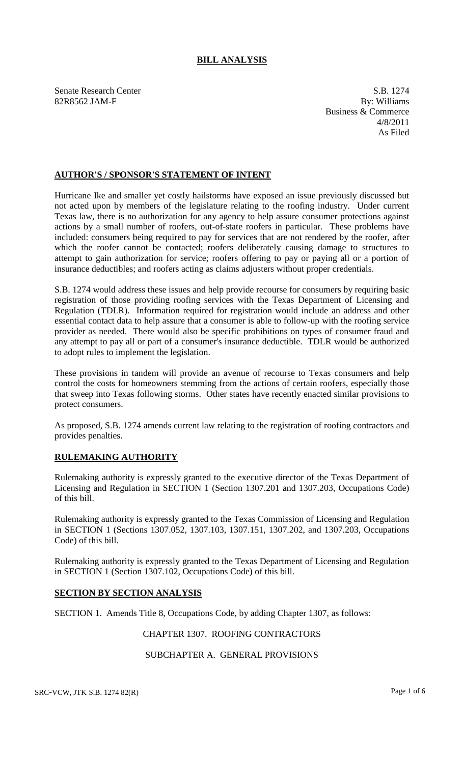## **BILL ANALYSIS**

Senate Research Center S.B. 1274 82R8562 JAM-F By: Williams

Business & Commerce 4/8/2011 As Filed

## **AUTHOR'S / SPONSOR'S STATEMENT OF INTENT**

Hurricane Ike and smaller yet costly hailstorms have exposed an issue previously discussed but not acted upon by members of the legislature relating to the roofing industry. Under current Texas law, there is no authorization for any agency to help assure consumer protections against actions by a small number of roofers, out-of-state roofers in particular. These problems have included: consumers being required to pay for services that are not rendered by the roofer, after which the roofer cannot be contacted; roofers deliberately causing damage to structures to attempt to gain authorization for service; roofers offering to pay or paying all or a portion of insurance deductibles; and roofers acting as claims adjusters without proper credentials.

S.B. 1274 would address these issues and help provide recourse for consumers by requiring basic registration of those providing roofing services with the Texas Department of Licensing and Regulation (TDLR). Information required for registration would include an address and other essential contact data to help assure that a consumer is able to follow-up with the roofing service provider as needed. There would also be specific prohibitions on types of consumer fraud and any attempt to pay all or part of a consumer's insurance deductible. TDLR would be authorized to adopt rules to implement the legislation.

These provisions in tandem will provide an avenue of recourse to Texas consumers and help control the costs for homeowners stemming from the actions of certain roofers, especially those that sweep into Texas following storms. Other states have recently enacted similar provisions to protect consumers.

As proposed, S.B. 1274 amends current law relating to the registration of roofing contractors and provides penalties.

### **RULEMAKING AUTHORITY**

Rulemaking authority is expressly granted to the executive director of the Texas Department of Licensing and Regulation in SECTION 1 (Section 1307.201 and 1307.203, Occupations Code) of this bill.

Rulemaking authority is expressly granted to the Texas Commission of Licensing and Regulation in SECTION 1 (Sections 1307.052, 1307.103, 1307.151, 1307.202, and 1307.203, Occupations Code) of this bill.

Rulemaking authority is expressly granted to the Texas Department of Licensing and Regulation in SECTION 1 (Section 1307.102, Occupations Code) of this bill.

### **SECTION BY SECTION ANALYSIS**

SECTION 1. Amends Title 8, Occupations Code, by adding Chapter 1307, as follows:

## CHAPTER 1307. ROOFING CONTRACTORS

# SUBCHAPTER A. GENERAL PROVISIONS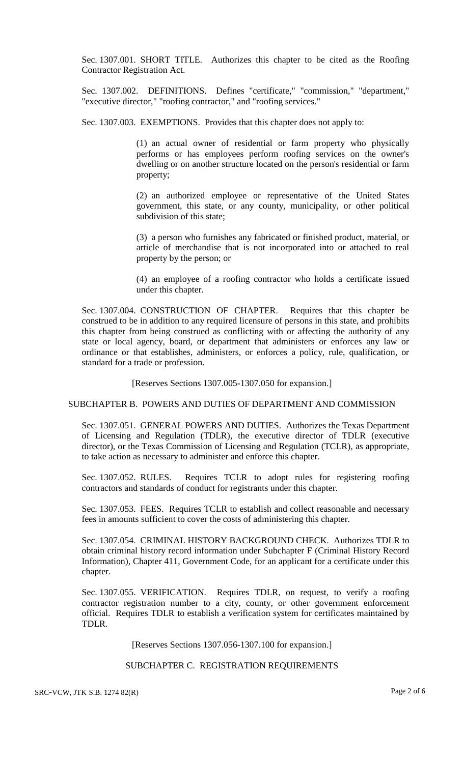Sec. 1307.001. SHORT TITLE. Authorizes this chapter to be cited as the Roofing Contractor Registration Act.

Sec. 1307.002. DEFINITIONS. Defines "certificate," "commission," "department," "executive director," "roofing contractor," and "roofing services."

Sec. 1307.003. EXEMPTIONS. Provides that this chapter does not apply to:

(1) an actual owner of residential or farm property who physically performs or has employees perform roofing services on the owner's dwelling or on another structure located on the person's residential or farm property;

(2) an authorized employee or representative of the United States government, this state, or any county, municipality, or other political subdivision of this state;

(3) a person who furnishes any fabricated or finished product, material, or article of merchandise that is not incorporated into or attached to real property by the person; or

(4) an employee of a roofing contractor who holds a certificate issued under this chapter.

Sec. 1307.004. CONSTRUCTION OF CHAPTER. Requires that this chapter be construed to be in addition to any required licensure of persons in this state, and prohibits this chapter from being construed as conflicting with or affecting the authority of any state or local agency, board, or department that administers or enforces any law or ordinance or that establishes, administers, or enforces a policy, rule, qualification, or standard for a trade or profession.

[Reserves Sections 1307.005-1307.050 for expansion.]

SUBCHAPTER B. POWERS AND DUTIES OF DEPARTMENT AND COMMISSION

Sec. 1307.051. GENERAL POWERS AND DUTIES. Authorizes the Texas Department of Licensing and Regulation (TDLR), the executive director of TDLR (executive director), or the Texas Commission of Licensing and Regulation (TCLR), as appropriate, to take action as necessary to administer and enforce this chapter.

Sec. 1307.052. RULES. Requires TCLR to adopt rules for registering roofing contractors and standards of conduct for registrants under this chapter.

Sec. 1307.053. FEES. Requires TCLR to establish and collect reasonable and necessary fees in amounts sufficient to cover the costs of administering this chapter.

Sec. 1307.054. CRIMINAL HISTORY BACKGROUND CHECK. Authorizes TDLR to obtain criminal history record information under Subchapter F (Criminal History Record Information), Chapter 411, Government Code, for an applicant for a certificate under this chapter.

Sec. 1307.055. VERIFICATION. Requires TDLR, on request, to verify a roofing contractor registration number to a city, county, or other government enforcement official. Requires TDLR to establish a verification system for certificates maintained by TDLR.

[Reserves Sections 1307.056-1307.100 for expansion.]

#### SUBCHAPTER C. REGISTRATION REQUIREMENTS

SRC-VCW, JTK S.B. 1274 82(R) Page 2 of 6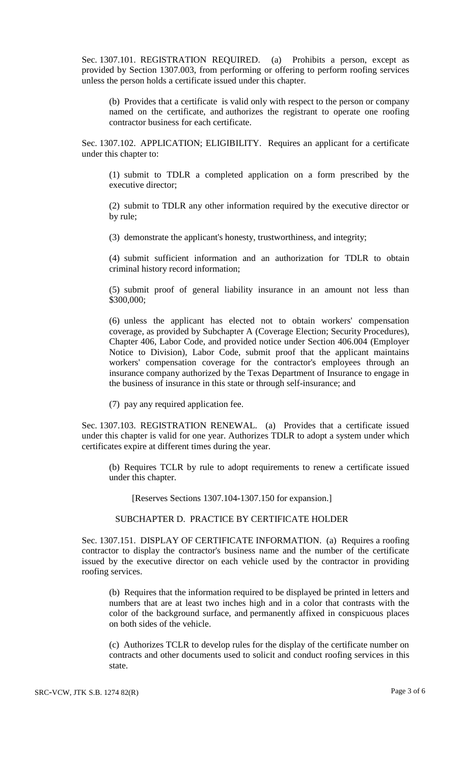Sec. 1307.101. REGISTRATION REQUIRED. (a) Prohibits a person, except as provided by Section 1307.003, from performing or offering to perform roofing services unless the person holds a certificate issued under this chapter.

(b) Provides that a certificate is valid only with respect to the person or company named on the certificate, and authorizes the registrant to operate one roofing contractor business for each certificate.

Sec. 1307.102. APPLICATION; ELIGIBILITY. Requires an applicant for a certificate under this chapter to:

(1) submit to TDLR a completed application on a form prescribed by the executive director;

(2) submit to TDLR any other information required by the executive director or by rule;

(3) demonstrate the applicant's honesty, trustworthiness, and integrity;

(4) submit sufficient information and an authorization for TDLR to obtain criminal history record information;

(5) submit proof of general liability insurance in an amount not less than \$300,000;

(6) unless the applicant has elected not to obtain workers' compensation coverage, as provided by Subchapter A (Coverage Election; Security Procedures), Chapter 406, Labor Code, and provided notice under Section 406.004 (Employer Notice to Division), Labor Code, submit proof that the applicant maintains workers' compensation coverage for the contractor's employees through an insurance company authorized by the Texas Department of Insurance to engage in the business of insurance in this state or through self-insurance; and

(7) pay any required application fee.

Sec. 1307.103. REGISTRATION RENEWAL. (a) Provides that a certificate issued under this chapter is valid for one year. Authorizes TDLR to adopt a system under which certificates expire at different times during the year.

(b) Requires TCLR by rule to adopt requirements to renew a certificate issued under this chapter.

[Reserves Sections 1307.104-1307.150 for expansion.]

#### SUBCHAPTER D. PRACTICE BY CERTIFICATE HOLDER

Sec. 1307.151. DISPLAY OF CERTIFICATE INFORMATION. (a) Requires a roofing contractor to display the contractor's business name and the number of the certificate issued by the executive director on each vehicle used by the contractor in providing roofing services.

(b) Requires that the information required to be displayed be printed in letters and numbers that are at least two inches high and in a color that contrasts with the color of the background surface, and permanently affixed in conspicuous places on both sides of the vehicle.

(c) Authorizes TCLR to develop rules for the display of the certificate number on contracts and other documents used to solicit and conduct roofing services in this state.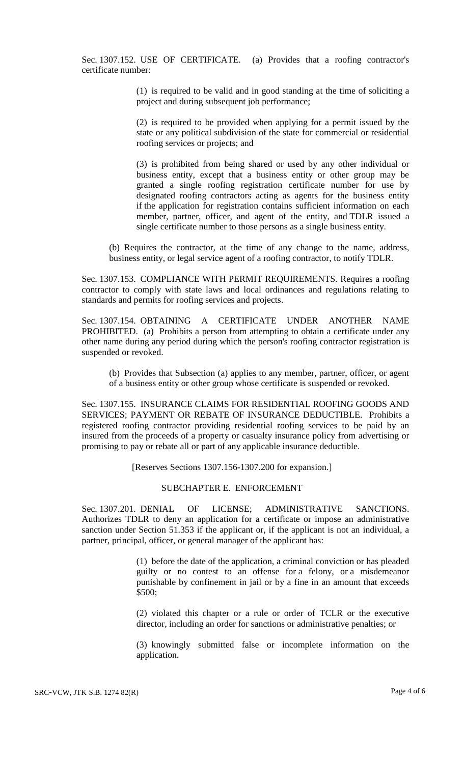Sec. 1307.152. USE OF CERTIFICATE. (a) Provides that a roofing contractor's certificate number:

> (1) is required to be valid and in good standing at the time of soliciting a project and during subsequent job performance;

> (2) is required to be provided when applying for a permit issued by the state or any political subdivision of the state for commercial or residential roofing services or projects; and

> (3) is prohibited from being shared or used by any other individual or business entity, except that a business entity or other group may be granted a single roofing registration certificate number for use by designated roofing contractors acting as agents for the business entity if the application for registration contains sufficient information on each member, partner, officer, and agent of the entity, and TDLR issued a single certificate number to those persons as a single business entity.

(b) Requires the contractor, at the time of any change to the name, address, business entity, or legal service agent of a roofing contractor, to notify TDLR.

Sec. 1307.153. COMPLIANCE WITH PERMIT REQUIREMENTS. Requires a roofing contractor to comply with state laws and local ordinances and regulations relating to standards and permits for roofing services and projects.

Sec. 1307.154. OBTAINING A CERTIFICATE UNDER ANOTHER NAME PROHIBITED. (a) Prohibits a person from attempting to obtain a certificate under any other name during any period during which the person's roofing contractor registration is suspended or revoked.

(b) Provides that Subsection (a) applies to any member, partner, officer, or agent of a business entity or other group whose certificate is suspended or revoked.

Sec. 1307.155. INSURANCE CLAIMS FOR RESIDENTIAL ROOFING GOODS AND SERVICES; PAYMENT OR REBATE OF INSURANCE DEDUCTIBLE. Prohibits a registered roofing contractor providing residential roofing services to be paid by an insured from the proceeds of a property or casualty insurance policy from advertising or promising to pay or rebate all or part of any applicable insurance deductible.

[Reserves Sections 1307.156-1307.200 for expansion.]

#### SUBCHAPTER E. ENFORCEMENT

Sec. 1307.201. DENIAL OF LICENSE; ADMINISTRATIVE SANCTIONS. Authorizes TDLR to deny an application for a certificate or impose an administrative sanction under Section 51.353 if the applicant or, if the applicant is not an individual, a partner, principal, officer, or general manager of the applicant has:

> (1) before the date of the application, a criminal conviction or has pleaded guilty or no contest to an offense for a felony, or a misdemeanor punishable by confinement in jail or by a fine in an amount that exceeds \$500;

> (2) violated this chapter or a rule or order of TCLR or the executive director, including an order for sanctions or administrative penalties; or

> (3) knowingly submitted false or incomplete information on the application.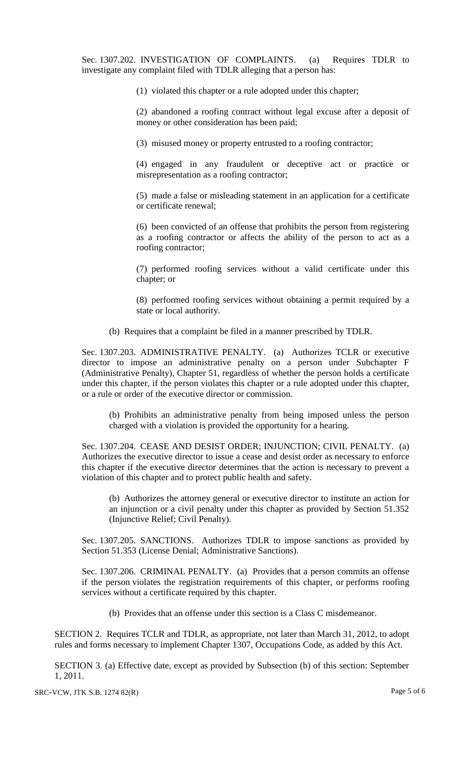Sec. 1307.202. INVESTIGATION OF COMPLAINTS. (a) Requires TDLR to investigate any complaint filed with TDLR alleging that a person has:

(1) violated this chapter or a rule adopted under this chapter;

(2) abandoned a roofing contract without legal excuse after a deposit of money or other consideration has been paid;

(3) misused money or property entrusted to a roofing contractor;

(4) engaged in any fraudulent or deceptive act or practice or misrepresentation as a roofing contractor;

(5) made a false or misleading statement in an application for a certificate or certificate renewal;

(6) been convicted of an offense that prohibits the person from registering as a roofing contractor or affects the ability of the person to act as a roofing contractor;

(7) performed roofing services without a valid certificate under this chapter; or

(8) performed roofing services without obtaining a permit required by a state or local authority.

(b) Requires that a complaint be filed in a manner prescribed by TDLR.

Sec. 1307.203. ADMINISTRATIVE PENALTY. (a) Authorizes TCLR or executive director to impose an administrative penalty on a person under Subchapter F (Administrative Penalty), Chapter 51, regardless of whether the person holds a certificate under this chapter, if the person violates this chapter or a rule adopted under this chapter, or a rule or order of the executive director or commission.

(b) Prohibits an administrative penalty from being imposed unless the person charged with a violation is provided the opportunity for a hearing.

Sec. 1307.204. CEASE AND DESIST ORDER; INJUNCTION; CIVIL PENALTY. (a) Authorizes the executive director to issue a cease and desist order as necessary to enforce this chapter if the executive director determines that the action is necessary to prevent a violation of this chapter and to protect public health and safety.

(b) Authorizes the attorney general or executive director to institute an action for an injunction or a civil penalty under this chapter as provided by Section 51.352 (Injunctive Relief; Civil Penalty).

Sec. 1307.205. SANCTIONS. Authorizes TDLR to impose sanctions as provided by Section 51.353 (License Denial; Administrative Sanctions).

Sec. 1307.206. CRIMINAL PENALTY. (a) Provides that a person commits an offense if the person violates the registration requirements of this chapter, or performs roofing services without a certificate required by this chapter.

(b) Provides that an offense under this section is a Class C misdemeanor.

SECTION 2. Requires TCLR and TDLR, as appropriate, not later than March 31, 2012, to adopt rules and forms necessary to implement Chapter 1307, Occupations Code, as added by this Act.

SECTION 3. (a) Effective date, except as provided by Subsection (b) of this section: September 1, 2011.